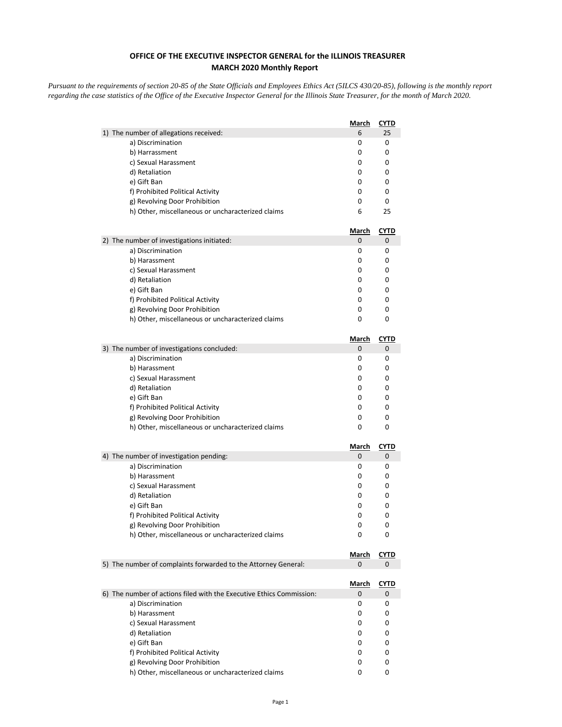## **OFFICE OF THE EXECUTIVE INSPECTOR GENERAL for the ILLINOIS TREASURER MARCH 2020 Monthly Report**

*Pursuant to the requirements of section 20-85 of the State Officials and Employees Ethics Act (5ILCS 430/20-85), following is the monthly report regarding the case statistics of the Office of the Executive Inspector General for the Illinois State Treasurer, for the month of March 2020.* 

|                                                                      | <u>March</u> | <u>CYTD</u> |
|----------------------------------------------------------------------|--------------|-------------|
| 1) The number of allegations received:                               | 6            | 25          |
| a) Discrimination                                                    | 0            | 0           |
| b) Harrassment                                                       | 0            | 0           |
| c) Sexual Harassment                                                 | 0            | 0           |
| d) Retaliation                                                       | 0            | 0           |
| e) Gift Ban                                                          | 0            | 0           |
| f) Prohibited Political Activity                                     | 0            | 0           |
| g) Revolving Door Prohibition                                        | 0            | 0           |
| h) Other, miscellaneous or uncharacterized claims                    | 6            | 25          |
|                                                                      | <u>March</u> | <u>CYTD</u> |
| 2) The number of investigations initiated:                           | 0            | 0           |
| a) Discrimination                                                    | 0            | 0           |
| b) Harassment                                                        | 0            | 0           |
| c) Sexual Harassment                                                 | 0            | 0           |
| d) Retaliation                                                       | 0            | 0           |
| e) Gift Ban                                                          | 0            | 0           |
| f) Prohibited Political Activity                                     | 0            | 0           |
| g) Revolving Door Prohibition                                        | 0            | 0           |
| h) Other, miscellaneous or uncharacterized claims                    | 0            | 0           |
|                                                                      | <b>March</b> | <b>CYTD</b> |
| 3) The number of investigations concluded:                           | 0            | 0           |
| a) Discrimination                                                    | 0            | 0           |
| b) Harassment                                                        | 0            | 0           |
| c) Sexual Harassment                                                 | 0            | 0           |
| d) Retaliation                                                       | 0            | 0           |
| e) Gift Ban                                                          | 0            | 0           |
| f) Prohibited Political Activity                                     | 0            | 0           |
| g) Revolving Door Prohibition                                        | 0            | 0           |
| h) Other, miscellaneous or uncharacterized claims                    | 0            | 0           |
|                                                                      | <u>March</u> | <b>CYTD</b> |
| 4) The number of investigation pending:                              | 0            | 0           |
| a) Discrimination                                                    | 0            | 0           |
| b) Harassment                                                        | 0            | 0           |
| c) Sexual Harassment                                                 | 0            | 0           |
| d) Retaliation                                                       | 0            | 0           |
| e) Gift Ban                                                          | 0            | 0           |
| f) Prohibited Political Activity                                     | 0            | 0           |
| g) Revolving Door Prohibition                                        | 0            | 0           |
| h) Other, miscellaneous or uncharacterized claims                    | 0            | 0           |
|                                                                      | March        | <b>CYTD</b> |
| 5) The number of complaints forwarded to the Attorney General:       | 0            | 0           |
|                                                                      | <u>March</u> | <u>CYTD</u> |
| 6) The number of actions filed with the Executive Ethics Commission: | 0            | 0           |
| a) Discrimination                                                    | 0            | 0           |
| b) Harassment                                                        | 0            | 0           |
| c) Sexual Harassment                                                 | 0            | 0           |
| d) Retaliation                                                       | 0            | 0           |
| e) Gift Ban                                                          | 0            | 0           |
| f) Prohibited Political Activity                                     | 0            | 0           |
|                                                                      |              |             |
| g) Revolving Door Prohibition                                        | 0            | 0           |